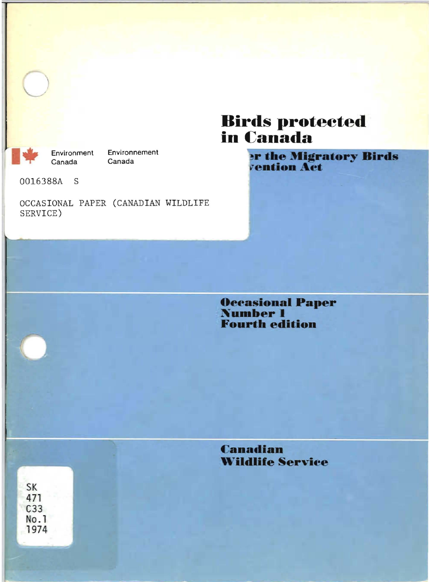

Environnement Environment Canada

0016388A S

OCCASIONAL PAPER (CANADIAN WILDLIFE SERVICE)

# **Birds protected<br>in Canada**

**er the Migratory Birds<br>vention Act** 

**Occasional Paper<br>Number 1 Fourth edition** 

**Canadian Wildlife Service** 

**SK** 471  $C<sub>33</sub>$ No.1 1974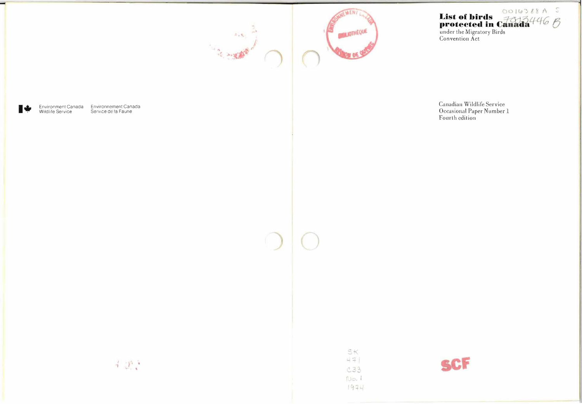



List of birds<br>
protected in Canada 446 B<br>
under the Migratory Birds<br>
Convention Act

∎÷

Environment Canada Environnement Canada<br>Wildlife Service Service de la Faune

Canadian Wildlife Service Occasional Paper Number 1<br>Fourth edition

 $\frac{1}{2}$  ,  $\frac{1}{2}$  ,

**SK** 47 C33  $N_{\text{O}}$ , 1  $1974$ 

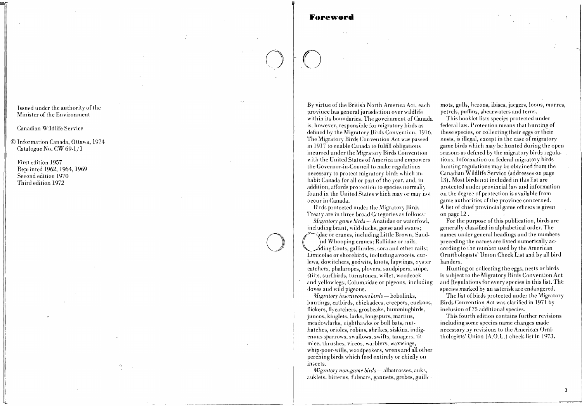# Foreword

Issued under the authority of the Minister of the Environment

Canadian Wildlife Service

© Information Canada, Ottawa, 1974 Catalogue No. CW 69-1/1

First edition 1957 Reprinted 1962, 1964, 1969 Second edition 1970 Third edition 1972

By virtue of the British North America Act, each province has general jurisdiction over wildlife within its boundaries. The government of Canada is, however, responsible for migratory birds as defined by the Migratory Birds Convention, 1916. The Migratory Birds Convention Act was passed in 1917 to enable Canada to fulfill obligations incurred under the Migratory Birds Convention with the United States of America and empowers the Governor-in-Council to make regulations necessary to protect migratory birds which inhabit Canada for all or part of the year, and, in addition, affords protection to species normally found in the United States which may or may not occur in Canada.

Birds protected under the Migratory Birds Treaty are in three broad Categories as follows:

Migratory game birds - Anatidae or waterfowl, including brant, wild ducks, geese and swans; vidae or cranes, including Little Brown, Sandnd Whooping cranes; Rallidae or rails, . dding Coots, gallinules, sora and other rails; Limicolae or shorebirds, including avocets, curlews, dowitchers, godwits, knots, lapwings, oyster catchers, phalaropes, plovers, sandpipers, snipe, stilts, surfbirds, turnstones, willet, woodcock and yellowlegs; Columbidae or pigeons, including doves and wild pigeons.

Migratory insectivorous birds - bobolinks, buntings, catbirds, chickadees, creepers, cuckoos, flickers, flycatchers, grosbeaks, hummingbirds, juncos, kinglets, larks, longspurs, martins, meadowlarks, nighthawks or bull bats, nuthatches, orioles, robins, shrikes, siskins, indigenous sparrows, swallows, swifts, tanagers, titmiee, thrushes, vireos, warblers, waxwings, whip-poor-wills, woodpeckers, wrens and all other perching birds which feed entirely or chiefly on insects.

Migratory non-game birds - albatrosses, auks, auklets, bitterns, fulmars, gannets, grebes, guillemots, gulls, herons, ibiscs, jaegers, loons, murres, petrels, puffins, shearwaters and terns.

This booklet lists species protected under federal law. Protection means that hunting of these species, or collecting their eggs or their nests, is illegal, except in the case of migratory game birds which may be hunted during the open seasons as defined by the migratory birds regulations. Information on federal migratory birds hunting regulations may be obtained from the Canadian Wildlife Service (addresses on page 13). Most birds not included in this list are protected under provincial law and information on the degree of protection is available from game authorities of the province concerned. A list of chief provincial game officers is given on page 12.

For the purpose of this publication, birds are generally classified in alphabetical order. The names under general headings and the numbers preceding the names are listed numerically according to the number used by the American Ornithologists' Union Check List and by all bird banders.

Hunting or collecting the eggs, nests or birds is subject to the Migratory Birds Convention Act and Regulations for every species in this list. The species marked by an asterisk are endangered.

The list of birds protected under the Migratory Birds Convention Act was clarified in 1971 by inclusion of 75 additional species.

This fourth edition contains further revisions including some species name changes made necessary by revisions to the American Ornithologists' Union (A.O.U.) check-list in 1973.

3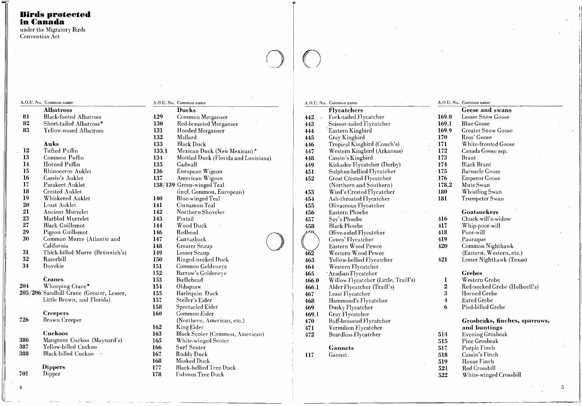# **Birds protected** in Canada

under the Migratory Birds Convention Act

A,O,U. No. Common name

**Albatross** 

| 81 | Black-footed Albatross          |
|----|---------------------------------|
| 82 | Short-tailed Albatross*         |
| 83 | Yellow-nosed Albatross          |
|    |                                 |
|    | Auks                            |
| 12 | Tufted Puffin                   |
| 13 | Common Puffin                   |
| 14 | Horned Puffin                   |
| 15 | Rhinoceros Auklet               |
| 16 | Cassin's Auklet                 |
| 17 | Parakeet Auklet                 |
| 18 | Crested Auklet                  |
| 19 | Whiskered Auklet                |
| 20 | Least Auklet                    |
| 21 | Ancient Murrelet                |
| 23 | Marbled Murrelet                |
| 27 | <b>Black Guillemot</b>          |
| 29 | Pigeon Guillemot                |
| 30 | Common Murre (Atlantic and      |
|    | California                      |
| 31 | Thick-billed Murre (Brünnich's) |
| 32 | Razorbill                       |
| 34 | Dovekie                         |

158

162

**163** 

165

166

168

177

178

**Cranes** 

Whooping Crane\* 204 205/206 Sandhill Crane (Greater, Lesser, Little Brown, and Florida)

**Creepers** 

726 Brown Creeper

Cuckoos

- Mangrove Cuckoo (Maynard's) 386 Yellow-billed Cuckoo 387 Black-billed Cuckoo 388
	- **Dippers**

County.

Dipper 701

|         | A.O.U. No. Common name               |  |  |  |  |  |
|---------|--------------------------------------|--|--|--|--|--|
|         | Ducks                                |  |  |  |  |  |
| $129$ . | Common Merganser                     |  |  |  |  |  |
| 130     | Red-breasted Merganser               |  |  |  |  |  |
| 131     | Hooded Merganser                     |  |  |  |  |  |
| 132     | Mallard                              |  |  |  |  |  |
| 133     | <b>Black Duck</b>                    |  |  |  |  |  |
| 133.1   | Mexican Duck (New Mexican)*          |  |  |  |  |  |
| 134-    | Mottled Duck (Florida and Louisiana) |  |  |  |  |  |
| 135     | Gadwall                              |  |  |  |  |  |
| 136     | European Wigeon                      |  |  |  |  |  |
| 137     | American Wigeon                      |  |  |  |  |  |
|         | 138/139 Green-winged Teal            |  |  |  |  |  |
|         | (incl. Common, European)             |  |  |  |  |  |
| 140     | Blue-winged Teal                     |  |  |  |  |  |
| 141     | Cinnamon Teal                        |  |  |  |  |  |
| 142     | Northern Shoveler                    |  |  |  |  |  |
| 143     | Pintail                              |  |  |  |  |  |
| 144     | Wood Duck                            |  |  |  |  |  |
| 146     | Redhead                              |  |  |  |  |  |
| 147     | Canvasback                           |  |  |  |  |  |
| 148     | <b>Greater Scaup</b>                 |  |  |  |  |  |
| 149     | Lesser Scaup                         |  |  |  |  |  |
| 150     | Ringed-necked Duck                   |  |  |  |  |  |
| 151     | Common Goldeneye                     |  |  |  |  |  |
| 152     | Barrow's Goldeneye                   |  |  |  |  |  |
| 153     | <b>Bufflehead</b>                    |  |  |  |  |  |
| 154     | Oldsquaw                             |  |  |  |  |  |
| 155     | Harlequin Duck                       |  |  |  |  |  |
| 157     | Steller's Eider                      |  |  |  |  |  |
| 158     | Spectacled Eider                     |  |  |  |  |  |
| 160     | Common Eider                         |  |  |  |  |  |
|         | (Northern, American, etc.)           |  |  |  |  |  |
| 162     | King Eider                           |  |  |  |  |  |
| 163     | Black Scoter (Common, American)      |  |  |  |  |  |
| 165     | White-winged Scoter                  |  |  |  |  |  |
| 166     | <b>Surf Scoter</b>                   |  |  |  |  |  |
| 167     | Ruddy Duck                           |  |  |  |  |  |
| 168     | Masked Duck                          |  |  |  |  |  |
| 177     | <b>Black-bellied Tree Duck</b>       |  |  |  |  |  |
| 178     | <b>Fulvous Tree Duck</b>             |  |  |  |  |  |

|                  | A,O.U. No. Common name               |                  | A.O.U. No. Common n |
|------------------|--------------------------------------|------------------|---------------------|
|                  | <b>Flycatchers</b>                   |                  | Geese a             |
| 442              | Fork-tailed Flycatcher               | 169.0            | Lesser S:           |
| 443              | Seissor-tailed Flycatcher            | 169.1            | <b>Blue Goo</b>     |
| 444              | Eastern Kingbird                     | 169.9            | Greater!            |
| 445              | Gray Kingbird                        | 170              | Ross' Go            |
| 446              | Tropical Kingbird (Couch's)          | 171              | White-fr            |
| 447              | Western Kingbird (Arkansas)          | 172              | Canada (            |
| 448              | Cassin's Kingbird                    | 173              | <b>Brant</b>        |
| 449              | Kiskadee Flycatcher (Derby)          | 174              | Black Br            |
| 451              | Sulphur-bellied Flycatcher           | 175              | Barnacle            |
| 452              | Great Crested Flycatcher             | 176              | Emperor             |
|                  | (Northern and Southern)              | 178.2            | Mute Sw             |
| 453              | Wied's Crested Flycatcher            | 180              | Whistlin            |
| 454              | Ash-throated Flycatcher              | 181              | Trumpet             |
| 455              | Olivaceous Flycatcher                |                  |                     |
| 456              | Eastern Phoebe                       |                  | Goatsu              |
| 457              | Say's Phoebe                         | 416              | Chuck-w             |
| 458              | <b>Black Phoebe</b>                  | 417              | Whip-po             |
| g.zo.            | Olive-sided Flycatcher               | 418              | Poor-wil            |
|                  | Coues' Flycatcher                    | 419              | Pauraqu             |
|                  | Eastern Wood Pewee                   | 420              | Commor              |
| $4\overline{62}$ | Western Wood Pewee                   |                  | (Eastern            |
| 463              | Yellow-bellied Flycatcher            | 421              | Lesser N            |
| 464              | Western Flycatcher                   |                  |                     |
| 465              | `Acadian Flycatcher                  |                  | Grebes              |
| 466.0            | Willow Flycatcher (Little, Traill's) | ı                | Western             |
| 466.1            | Alder Flycatcher (Traill's)          | $\overline{2}$   | Red-necl            |
| 467              | Least Flycatcher                     | $3 -$            | Horned (            |
| 468              | Hammond's Flycatcher                 | $\boldsymbol{4}$ | Eared G             |
| 469              | Dusky Flycatcher                     | 6                | Pied-bill           |
| 469.1            | Gray Flycatcher                      |                  |                     |
| 470              | Buff-breasted Flycatcher             |                  | Grosbe              |
| 471              | Vermilion Flycatcher                 |                  | and bu              |
| 472              | Beardless Flycatcher                 | 514              | Evening             |
|                  |                                      | 515              | Pine Gro            |
|                  | <b>Gannets</b>                       | 517              | Purple F            |
| 117              | Gannet.                              | 518              | Cassin's            |
|                  |                                      | 519              | House F             |
|                  |                                      | 521              | Red Cro             |
|                  |                                      |                  |                     |

|      | э.е. ім. Сонінон наше     |
|------|---------------------------|
|      | Geese and swans           |
| 9.0  | Lesser Snow Goose         |
| i9.1 | <b>Blue Goose</b>         |
| 9.9  | <b>Greater Snow Goose</b> |
| 0    | Ross' Goose               |
| T    | White-fronted Goose       |
| '2   | Canada Goose ssp.         |
| 3    | Brant                     |
| Ά,   | <b>Black Brant</b>        |
| 5    | <b>Barnacle Goose</b>     |
| '6   | <b>Emperor Goose</b>      |
| 3.2  | Mute Swan                 |
| 80   | Whistling Swan            |
| ١l   | Trumpeter Swan            |
|      |                           |

## **tckers**  $\frac{1}{2}$  $\sim$

| Unuck-will s-widow        |
|---------------------------|
| Whip-poor-will            |
| Poor-will                 |
| Pauraque                  |
| Common Nighthawk          |
| (Eastern, Western, etc.)  |
| Lesser Nighthawk (Texas). |

- n Grebe
- ked Grebe (Holboell's)
- Grebe
- rebe
- led Grebe

# eaks, finches, sparrows, **intings**

- Grosbeak
- osbeak
- Finch
- Finch
- `inch
- **S**
- White-winged Crossbill 522

 $\,$  5  $\,$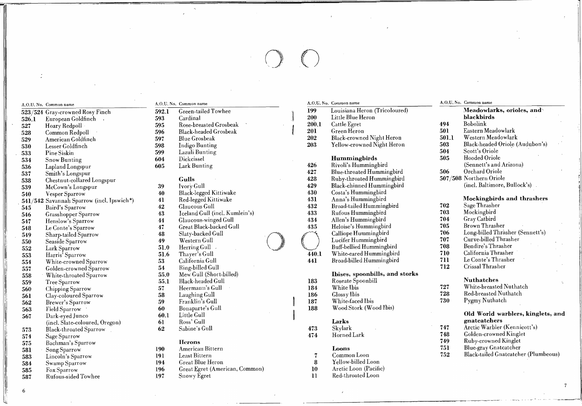# $\bigcirc$

523/524 Gray-crowned Rosy Finch 592.1 Green-tailed Towhee 199 Louisiana Heron (Tricoloured)<br>526.1 European Goldfinch 593 Cardinal 200 Little Blue Heron 526.1 European Goldfinch 593 Cardinal 200 Little Blue Heron blackbirds 523/524 Gray-crowned Rosy Finch 592.1 Green-tailed Towhee 523/524 Gray-crowned Rosy Finch 593 Cardinal<br>526.1 European Goldfinch 593 Cardinal 595 Rose-breasted Grosbeak 199 Little Blue Heron blackbir<br>527 Hoary Redpoll 595 528 Common Redpoll 596 Blaek·headed Grosbeak 201 Green Heron 501 Eastern Meadowlark 529 Ameriean Goldfineh 597 Blue Grosbeak 202 Blaek-erowned Night Heron 501.1 Western Meadowlark 533 Pine Siskin 599 Lazuli Bunting 504 Seott's Oriole 534 Snow Bunting 604 Diekeissel Hummingbirds 505 Hooded Oriole 538 Chestnut-collared Longspur Gulls 428 Ruby-throated Hummingbird 507/508 Northern Oriole 540 Vesper Sparrow 1994 (1995)<br>540 Vesper Sparrow (incl. Ipswich\*) 40 Black-legged Kittiwake 430 (1995) 431 (1995) 431 (1995) 431 (1996) 431 , 541/542 Savannah Sparrow (incl. Ipswich\*) 41 Red-Iegged Kittiwake 431 Anna's Hummingbird Mockingbird Mockingbird<br>545 Baird's Sparrow 42 Glaucous Gull 432 Broad-tailed Hummingbird 702 Sage Thrasher 545 Baird's Sparrow 42 Glaueous Gull 432 Broad·tailed Hummingbird 702 Sage Thrasher 546 Grasshopper Sparrow 43 Iceland Gull (inel. Kumlein's) 433 Rufous Hummingbird 703 Mockingbird 547 Henslow's Sparrow 44 Glaucous-winged Gull 434 Allen's Hummingbird 704 Gray Catbird 548 Le Conte's Sparrow 47 Great Black-backed Gull 435 Heloise's Hummingbird 705 Brown Thrasher 549 Sharp-tailed Sparrow 48 Slaty-backed Gull (Sennett's)<br>550 Seaside Sparrow 49 Western Gull (D) Calliope Hummingbird 707 Curve-billed Thrasher (Sennett's)<br>552 Lark Sparrow 51.6 Thaver's Gull (D) (D) Unite-eared Hummingbi 550 Seaside Sparrow 49 Western Gull ( ) Lucifer Hummingbird 707 Curve-billed Thrasher 552 Lark Sparrow 51.0 Herring Gull Buff-bellied Hummingbird 708 Bendire's Thrasher 553 Harris' Sparrow 51.6 Thayer's Gull 440.1 White-eared Hummingbird 710 California Thrasher 554 White-erowned Sparrow 53 California Gull 441 Broad-billed Hummingbird 711 Le Conte's Thrasher 557 Golden-crowned Sparrow 54 Ring-billed Gull 558 712 Crissal Thrasher 112 Crissal Thrasher 55.0 Mew Gull (Short-billed) 558 76 and storks 55.0 Mew Gull (Short-billed) 558 76 and storks 55.0 Mew Gull (Short-billed) 558 76 li Signal Chipping Sparrow 57 Black-headed Gull 183 Roseate Spoonbill Nuthatches<br>184 White bis Chipping Sparrow 57 Heermann's Gull 184 White Ibis 727 White-breaste<br>184 Clocar Disc Clocar Disc 228 Red-breasted 1 560 Chipping Sparrow 57 Heermann's Gull 184 White Ibis 727 White-breasted Nuthatch <sup>1</sup>: 561 Clay-coloured Sparrow 58 Laughing Gull 186 Glossy Ibis 728 Red-breasted Nuthatch 562 Brewer's Sparrow 59 Franklin's Gull 187 White-faced Ibis 730 Pygmy Nuthatch 563 Field Sparrow 60 Bonaparte's Gull 188 Wood Stork (Wood Ibis)<br>567 Dark-eyed Junco 60.1 Little Gull Suite Scale (incl. Slate-coloured, Oregon) 61 Ross' Gull **Larks Earks** gnatcatchers gnatcatchers gnaticatchers gnaticatchers gnaticatchers gnatication of the Ross' Gull **Larks Earks Earks Earks Earks Earks E** 

I!i

ļI.

li,1

<sup>1</sup>',1

Il

Il

 $\begin{array}{ccc} \n & 6 \n \end{array}$ 

- 1:: 574 Sage Sparrow 474 HornedLark 748 Golden-erowned Kinglet
	-
	-
	- 581 Song Sparrow 190 American Bittern Loons Loons (191 Blue-gray Gnateatcher (Plumbeous)<br>583 Lincoln's Sparrow 191 Least Bittern 194 (194 Great Blue Heron 194 Great Blue Heron 194 Swamp Sparrow 194 (
	-
- 1985 Fox Sparrow 198 Great Egret (American, Common) 1988 Rufeld Loon (Fachi<br>197 Snowy Egret 11 Red-throated Loon

- 
- 
- 
- 
- 
- 
- 
- 
- 

- 
- 
- 
- 
- 
- 
- 
- 
- 
- 
- 
- 
- 
- 
- 
- 
- 
- 
- -
	-
- 

- 
- 
- 
- 584 Swamp Sparrow 194 Great Blue Heron 8 Yellow-billed Loon Fox Sparrow 196 Great Egret (American, Common) 10 Arctic Loon (Pacifie American, Common) 10 Arctic Loon (Pacifi<br>Rufous-sided Towhee 197 Snowy Egret 11 Red-throated Loon
	-

# A.O.U. No. Common name A.O.U. No. Common name A.O.U. No. Common name A.O.U. No. Common name A.O.U. No. Common name

- 
- 
- 
- 
- 
- 

- 536 Lapland Longspur 605 Lark Bunting 426 Rivoli's Hummingbird (Sennett's and Arizona) 537 Smith's Longspur 506 Orchard Oriole 506 Orchard Oriole 506 Orchard Oriole 506 Orchard Oriole
	-
	-
	-
	-
	-
	-
	-
	-
	-
	- -

- 
- 
- 
- 

- 
- 
- 
- 

| A.U.U. No.   Common name |                                             | A.O.O. RO. GOIHILION HAME |                              |       |                               |       |                                 |  |
|--------------------------|---------------------------------------------|---------------------------|------------------------------|-------|-------------------------------|-------|---------------------------------|--|
|                          | $523/524\,$ Gray-crowned Rosy Finch $^{-1}$ | 592.1                     | Green-tailed Towhee          | 199   | Louisiana Heron (Tricoloured) |       | Meadowlarks, orioles, and       |  |
| 526.1                    | European Goldfinch                          | 593                       | Cardinal                     | 200   | Little Blue Heron             |       | blackbirds                      |  |
| 527                      | Hoary Redpoll                               | 595                       | Rose-breasted Grosbeak       | 200.1 | Cattle Egret                  | 494   | Bobolink                        |  |
| 528                      | Common Redpoll                              | 596                       | <b>Black-headed Grosbeak</b> | 201   | Green Heron                   | 501   | Eastern Meadowlark              |  |
| 529                      | American Goldfinch                          | 597                       | Blue Grosbeak                | 202   | Black-crowned Night Heron     | 501.1 | Western Meadowlark              |  |
| 530                      | Lesser Goldfinch                            | 598                       | Indigo Bunting               | 203   | Yellow-crowned Night Heron    | 503   | Black-headed Oriole (Audubon's) |  |
| 533                      | Pine Siskin                                 | 599                       | Lazuli Bunting               |       |                               | 504   | Scott's Oriole                  |  |
| 534                      | Snow Bunting                                | 604                       | Dickcissel                   |       | <b>Hummingbirds</b>           | 505   | Hooded Oriole                   |  |
| 536                      | Lapland Longspur                            | 605                       | Lark Bunting                 | 426   | Rivoli's Hummingbird          |       | (Sennett's and Arizona)         |  |
| 537                      | Smith's Longspur                            |                           |                              | 427   | Blue-throated Hummingbird     | 506   | Orchard Oriole                  |  |
| 538                      | Chestnut-collared Longspur                  |                           | Gulls-                       | 428   | Ruby-throated Hummingbird     |       | 507/508 Northern Oriole         |  |
| 539                      | McCown's Longspur                           | -39                       | Ivory Gull                   | 429   | Black-chinned Hummingbird     |       | (incl. Baltimore, Bullock's)    |  |
| 540                      | Vesper Sparrow                              | 40                        | Black-legged Kittiwake       | 430   | Costa's Hummingbird           |       |                                 |  |
|                          | 541/542 Savannah Sparrow (incl. Ipswich*)   |                           | Red-legged Kittiwake         | 431   | Anna's Hummingbird            |       | Mockingbirds and thrashers      |  |
|                          |                                             |                           |                              |       |                               |       |                                 |  |

- 
- 
- 
- 
- -
- 
- 
- 
- 

- 
- 
- 

# $\begin{bmatrix}\n 567 & \text{Dark-cycle} \\
 567 & \text{Dark-cycle}\n \end{bmatrix}\n \quad\n \begin{bmatrix}\n 567 & \text{Dark-edge} \\
 567 & \text{Dark-edge} \\
 568 & \text{Dark-edge} \\
 569 & \text{Dark-edge} \\
 569 & \text{Dark-edge} \\
 569 & \text{Dark-edge} \\
 560 & \text{Dark-edge} \\
 560 & \text{Dark-edge} \\
 561 & \text{Dark-edge} \\
 560 & \text{Dank-edge} \\
 561$

7

J

- <sup>1</sup> 573 Black-throated Sparrow 62 Sabine's Gull 473 Skylark 747 Aretic Warbler (Kennicott's)
	-
	- 575 Bachman's Sparrow Herons Herons Ruby.crowned Kinglet
- 190 American Bittern Loons 191 American Bittern 190 American Bittern 190 Loons 191 Blue-gray Gnateatcher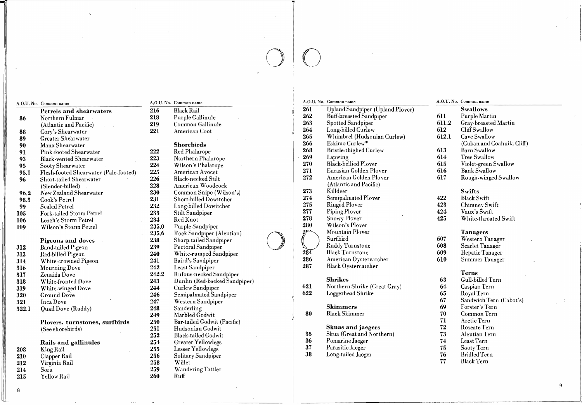# $O$

1

Petrels and sheàrwaters 216 Black Rail 261 Upland Sandpiper (Upland Plover) Swallows<br>Northern Fulmar 218 Purple Gallinule 262 Buff-breasted Sandpiper 611 Purple Martin 86 Northern Fulmar 218 Purple Gallinule<br>
(Atlantic and Pacific) 219 Common Gallinule (Atlantic and Pacific) 219 Common Gallinule 263 Spotted Sandpiper 611.2 Gray-breasted Martin 88 Cory's Shearwater 221 American Coot  $\begin{bmatrix} 264 & \text{Long-billed Curlew} \end{bmatrix}$  612 Cliff Swallow 88 Cory's Shearwater 221 American Coot (1994 Long-billed Curlew) 612 Cliff Swallow<br>89 Greater Shearwater 265 Whimbrel (Hudsonian Curlew) 612.1 Cave Swallow<br>89 Manx Shearwater (Cuban and Coahuila Cliff) 90 Manx Shearwater ( 90 Manx Shearwater Shorebirds Shorebirds 266 Eskimo Curlew<sup>\*</sup> (Cuban and Coahuila Cliff) 91 Pink-footed Shearwater 222 Red Phalarope 268 Bristle-thighed Curlew 613 Barn Swallow 93 Black-vented Shearwater 223 Northern Phalarope 269 Lapwing 614 Tree Swallow 95 Sooty Shearwater 224 Wilson's Phalarope 270 Black-bellied Ployer 615 Violet-green Swallow 95.1 Flesh-footed Shearwater (Pale-footed) 225 American Avocet 271 Eurasian Golden Plover 616 Bank Swallow<br>96 Short-tailed Shearwater 226 Black-necked Stilt 272 American Golden Plover 617 Rough-winged Swallow 96 Short-tailed Shearwater 226 Black-necked Stilt 272 American Golden Plo ver 617 Rough-winged Swallow

- 96.2 New Zealand Shearwater 230 Common Snipe (Wilson's) 273 Killdeer Swifts<br>
231 Short-billed Dowitcher 274 Semipalmated Plover 422 Black Swift
- 
- 
- 105 Fork-tailed Storm Petrel 233 Stilt Sandpiper 277 Piping Plover 424 Vaux's Swift
- 
- 109 Wilson's Storm Petrel 235.0 Purple Sandpiper 280 Wilson's Ployer<br>235.6 Rock Sandpiper (Aleutian) 201 Mountain Ployer

- 
- 
- 
- 
- 
- 
- 
- 322.1 Quail Dove (Ruddy) 248 Sanderling Skimmers 69 Forster's Tern

# Plovers, turnstones, surfbirds 250 Bar-tailed Godwit (Pacific) (See shorebirds) 71 Arctic Tern<br>
(See shorebirds) 251 Hudsonian Godwit (Pacific) 251 Hudsonian Godwit (Pacific) 251 Hudsonian Godwit (Pacific) (See shorebirds) 251 Hudsonian Godwit Skuas and jaegers 72 Roseate Tern

- 
- 
- 
- 

8

Yellow Rail

# A.O.U. No. Common name A.O.U. No. Common name A.O.U. No. Common name A.O.U. No. Common name A.O.U. No. Common name A.O.U. No. Common name A.O.U. No. Common name A.O.U. No. Common name A.O.U. No. Common name A.O.U. No. Comm

- 
- -

- 
- 
- 
- 
- 
- 
- 
- 
- 
- 
- -
	-
- 
- 
- 
- 
- 316 Mourning Dove 242 Least Sandpiper 287 Black Oystercatcher<br>317 Zenaida Dove 242.2 Rufous-necked Sandpiper
- 317 Zenaida Dove 242.2 Rufous-necked Sandpiper<br>318 White-fronted Dove 243 Dunlin (Red-backed Sandpiper) Shrikes Shrikes 63 Gull-billed Tern
	-
- 320 GroundDove 246 Semipalmated Sandpiper 622 Loggerhead Shrike 65 Royal Tern
- 321 Inca Dove 247 Western Sandpiper 67 Sandwich Tern (Cabot's)
	-
	-
	-
	-
	-
	- Rails and gallinules 254 Greater Yellowlegs 36 Pomarine Jaeger 74 Least Tern
- 208 King-Rail 255 Lesser-Yellowlegs 255 Lesser-Yellowlegs 37 Parasitic Jaeger 25 Sooty Tern
	-
- 212 Virginia Rail 258 Willet 77 Black Tern
- 214 Sora 259 Wandering Tattler
	-

# (Slender-billed) 228 American Woodcock (Atlantic and Pacific)<br>New Zealand Shearwater 230 Common Snipe (Wilson's) 273 Killdeer

- 98.3 Cook's Petrel 231 Short-billed Dowitcher 274 Semipalmated Ployer 422 Black Swift 99 Scaled Petrel 232 Long-billed Dowitcher 275 Ringed Ployer 423 Chimney Swift
	-
	-
	-
	-
	-
- 314 White-crowned Pigeon 241 Baird's Sandpiper 286 American Oystercatcher 610 Summer Tanager
	-

318 White-fronted Dove 243 Dunlin (Red-backed Sandpiper) 5hrikes 5hrikes 63 Gull-billed Tern (Shrikes 63 Gull-billed Tern 244 Curlew Sandpiper) 5hrikes 63 Gull-billed Tern (Shrike (Great Gray) 64 Caspian Tern (Shrike (Grea 319 Morthern Shrike (Great Gray) 64 Caspian Tern (Start Gray) 621 Northern Shrike (Great Gray) 64 Caspian Tern (Ground Dove 246 Semipalmated Sandpiper 622 Loggerhead Shrike (Great Gray) 65 Royal Tern

249 Marbled Godwit (80 Black Skimmer 70 Common Tern

- 252 Black-tailed Godwit 35 Skua (Great and Northern) 73 Aleutian Tern<br>254 Greater Yellowlegs 36 Pomarine Jaeger 74 Least Tern
	-
	-
- 210 Clapper Rail 256 Solitary Sandpiper 38 Long-tailed Jaeger 76 Bridled Tern

- 262 Buff-breasted Sandpiper 611 Purple Martin<br>
263 Spotted Sandpiper 611.2 Gray-breasted Martin
	-
	- -
	-
	-
	-
	-
	-

- 
- 
- 
- 106 Leach's Storm Petrel 234 Red Knot 234 Red Knot 278 Snowy Ployer 425 White-throated Swift

- 235.6 Rock Sandpiper (Aleutian) 285.6 Rock Sandpiper (Aleutian) 235.6 Rock Sandpiper (Aleutian) 238 Sharp-tailed Sandpiper 239 Pectoral Sandpiper 239 Pectoral Sandpiper 239 Pectoral Sandpiper 239 Pectoral Sandpiper 234 Bla Pigeons and doves 238 Sharp-tailed Sandpiper (Surform Surfbird 607 Western Tanager 8 Sharp-tailed Sandpiper (Surfbird 607 Western Tanager 8 Sharp-tailed Sandpiper 608 Scarlet Tanager 312 Band-tailed Pigeon 239 Pectoral Sandpiper Ruddy Turnstone 608 Scarlet Tanager 312 Band-tailed Pigeon 239 Pectoral Sandpiper<br>313 Red-billed Pigeon 240 White-rumped Sandpiper 284 Black Turnstone 609 Hepatic Tanager<br>314 White-crowned Pigeon 241 Baird's Sandpiper 286 American Oystercatcher 610 Summer Ta
	-

9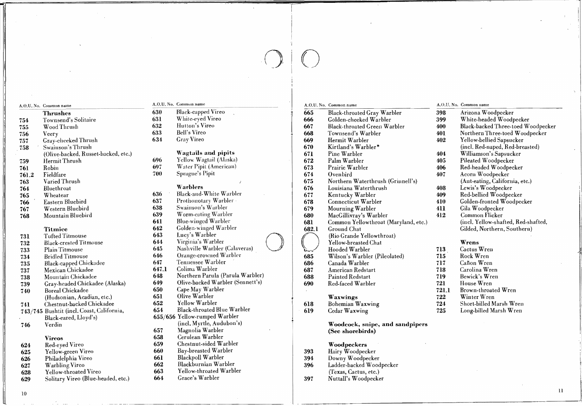- A.O.U. No. Common name **Thrushes** Townsend's Solitaire 754 Wood Thrush 755 756 Veery Gray-cheeked Thrush 757 Swainson's Thrush 758 (Olive-backed, Russet-backed, etc.) Hermit Thrush 759 Robin 761 Fieldfare 761.2 Varied Thrush 763 764 Bluethroat Wheatear 765 Eastern Bluebird 766 Western Bluebird 767
- Mountain Bluebird 768

## Titmice

- Tufted Titmouse 731 **Black-crested Titmouse**
- 732 Plain Titmouse
- 733 **Bridled Titmouse** 734
- **Black-capped Chickadee** 735
- Mexican Chickadee 737
- Mountain Chickadee 738
- Gray-headed Chickadee (Alaska) 739
- **Boreal Chickadee** 740 (Hudsonian, Acadian, etc.)
- Chestnut-backed Chickadee 741
- 743/745 Bushtit (incl. Coast, California,
- Black-eared, Lloyd's) Verdin 746

# **Vireos**

- Red-eyed Vireo 624
- 625 Yellow-green Vireo
- Philadelphia Vireo 626
- **Warbling Vireo** 627

10

628

# Yellow-throated Vireo

Solitary Vireo (Blue-headed, etc.) 629

# A.O.U. No. Common name

631

632

633

634

644

645

- Black-capped Vireo 630
	- White-eyed Vireo
	- Hutton's Vireo
	- Bell's Vireo
	- **Gray Vireo**

# **Wagtails and pipits**

- 696 Yellow Wagtail (Alaska)
- 697 Water Pipit (American) 700
	- Sprague's Pipit

## Warblers

- Black-and-White Warbler 636 Prothonotary Warbler 637 Swainson's Warbler 638
- 639 Worm-eating Warbler
- Blue-winged Warbler 641
- Golden-winged Warbler 642
- Lucy's Warbler 643

Virginia's Warbler

Nashville Warbler (Calaveras)

- Orange-crowned Warbler 646
- Tennessee Warbler 647
- Colima Warbler 647.1
- Northern Parula (Parula Warbler) 648
- 649 Olive-backed Warbler (Sennett's) 650
	- Cape May Warbler
- 651 Olive Warbler
- Yellow Warbler 652
- Black-throated Blue Warbler 654
- 655/656 Yellow-rumped Warbler (incl. Myrtle, Audubon's)
- Magnolia Warbler 657
- Cerulean Warbler 658
- Chestnut-sided Warbler 659
- **Bay-breasted Warbler** 660
- Blackpoll Warbler 661
- 662 Blackburnian Warbler
- 663 Yellow-throated Warbler
- 664 Grace's Warbler

# A.O.U. No. Common name

- 665 **Black-throated Gray Warbler** 666 Golden-cheeked Warbler
- 667 **Black-throated Green Warbler**
- 668 Townsend's Warbler
- 669 Hermit Warbler
- 670 Kirtland's Warbler\*
- 671 Pine Warbler
- 672 Palm Warbler
- 673 Prairie Warbler
- 674 Ovenbird
- 675 Northern Waterthrush (Grinnell's)
- 676 Louisiana Waterthrush
- 677 Kentucky Warbler
- 678 Connecticut Warbler
- 679 Mourning Warbler
- 680 MacGillivray's Warbler
- 681 Common Yellowthroat (Maryland, etc.)
- 682.1 Ground Chat
- (Rio Grande Yellowthroat) Yellow-breasted Chat
- Hooded Warbler
- Wilson's Warbler (Pileolated) 685
- 686 Canada Warbler
- 687 American Redstart
- 688 Painted Redstart
- Red-faced Warbler 690

# **Waxwings**

- Bohemian Waxwing 618
- 619 Cedar Waxwing

Woodcock, snipe, and sandpipers (See shorebirds)

# Woodpeckers

- 393 Hairy Woodpecker
- 394 Downy Woodpecker
- Ladder-backed Woodpecker 396
- (Texas, Cactus, etc.)
- Nuttall's Woodpecker 397

# A.O.U. No. Common name

412

713

715

717

718

719

721

721.1

722

724

725

- 398 Arizona Woodpecker 399 White-headed Woodpecker 400 Black-backed Three-toed Woodpecker Northern Three-toed Woodpecker 401 402 Yellow-bellied Sapsucker (incl. Red-naped, Red-breasted) 404 Williamson's Sapsucker Pileated Woodpecker 405 Red-headed Woodpecker 406 Acorn Woodpecker 407 (Aut-eating, California, etc.) Lewis's Woodpecker 408 Red-bellied Woodpecker 409
- 410 Golden-fronted Woodpecker
- Gila Woodpecker 411

Wrens

Cactus Wren

Cañon Wren

Carolina Wren

Bewick's Wren

Brown-throated Wren

Short-billed Marsh Wren

Long-billed Marsh Wren

 $\mathbf{1}$ 

House Wren

Winter Wren

Rock Wren

Common Flicker (incl. Yellow-shafted, Red-shafted, Gilded, Northern, Southern)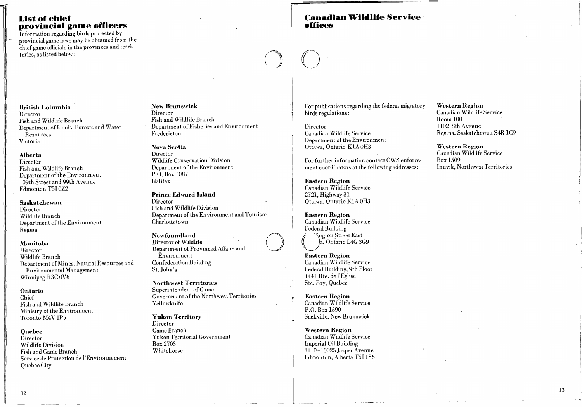# **List of ehief provineial game offieers**

Information regarding birds protected by provincial game laws may be obtained from the chicf game officiaIs in the provinces and territories, as listed below:

# Cana<br>office **l::anadian Wildlife Serviee offiees**

# British Columbia Director Fish and Wildlife Branch

Department of Lands, Forests and Water Resources Victoria

# Alberta

Director Fish and Wildlife Branch Department of the Environment 109th Street and 99th Avenue Edmonton T5J OZ2

# Saskatchewan

Director Wildlife Branch Department of the Environment Regina

# Manitoba

Director Wildlife Branch Department of Mines, Natural Resources and Environmental Management Winnipeg R3C OV8

# Ontario

Chief Fish and Wildlife Branch :Ministry of the Environment Toronto M4V IP5

# Quebec

Director Wildlife Division Fish and Game Branch Service de Protection de l'Environnement QuebecCity

# New Brunswick Director Fish and Wildlife Branch

Department of Fisheries and Environment Fredericton

# Nova Scotia

Director Wildlife Conservation Division Department of the Environment P.O. Box 1087 Halifax

# Prince Edward Island Director Fish and WildIife Division Department of the Environment and Tourism Charlottetown

Newfoundland Director of Wildlife Department of Provincial Affairs and Environment Confederation Building St. John's

Northwest Territories Superintendent of Game Government of the Northwest Territories Yellowknife

# Yukon Territory

Director GameBranch Yukon Territorial Government Box 2703 Whitehorse

For publications regarding the federal migratory birds regulations:

Director Canadian Wildlife Service Department of the Environment Ottawa, Ontario KIA OH3

 $\bigcirc$ 

1 1

 $\bigcirc$ 

 $\bigcirc$ 

For further information contact CWS enforcement coordinators at the following addresses:

Eastern Region Canadian Wildlife Service 2721, Highway 31 Ottawa, On tario KIA OH3

Eastern Region Canadian Wildlife Service Federal Building ington Street<br>
a, Ontario La<br>
Eastern Region ··. 'l'ngton ?treet East a, Ontario L4G 3G9

Canadian WildIife Service Federal Building, 9th Floor 1141 Rte. de l'Eglise Ste. Foy, Quebec

Eastern Region Canadian WildIife Service P.O. Box 1590 Sackville, New Brunswick

Western Region Canadian Wildlife Service Imperial Oil Building 1110-10025 Jasper Avenue Edmonton, Alberta T5J IS6 Western Region Canadian WildIife Service Room 100 1102 8th Avenue Regina, Saskatchewan S4R IC9

Western Region Canadian Wildlife Service Box 1509 Inuvik, Northwest Territories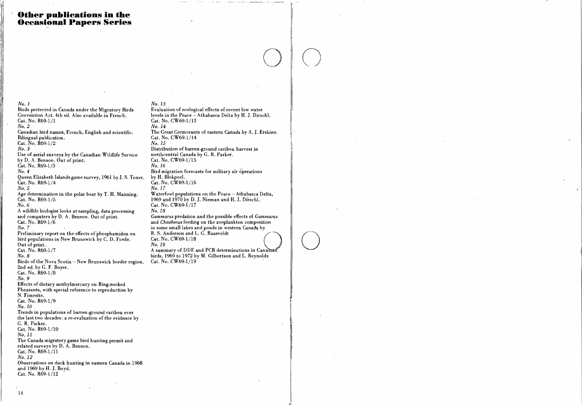# **Other publications in the Occasional Papers Series**

 $No. I$ Birds protected in Canada under the Migratory Birds Convention Act. 4th ed. Also available in French. Cat. No. R69-1/1  $No. 2$ Canadian bird names, French, English and scientific. Bilingual publication. Cat. No. R69-1/2  $No.3$ Use of aerial surveys by the Canadian Wildlife Service by D. A. Benson. Out of print.  $Cat. No. R69-1/3$  $No.4$ Queen Elizabeth Islands game survey, 1961 by J. S. Tener. Cat. No. R69-1/4  $No. 5$ Age determination in the polar bear by T. H. Manning. Cat. No. R69-1/5  $No. 6$ A wildlife biologist looks at sampling, data processing and computers by D. A. Benson. Out of print. Cat. No. R69-1/6  $No. 7$ Preliminary report on the effects of phosphamidon on bird populations in New Brunswick by C. D. Fowle. Out of print. Cat. No. R60-1/7  $No. 8$ Birds of the Nova Scotia - New Brunswick border region. 2nd ed. by G. F. Bover. Cat. No. R69-1/8  $No.9$ Effects of dietary methylmercury on Ring-necked Pheasants, with special reference to reproduction by N. Fimreite. Cat. No. R69-1/9

 $No. 10$ Trends in populations of barren-ground caribou over the last two decades: a re-evaluation of the evidence by G. R. Parker. Cat. No. R69-1/10  $No. II$ The Canada migratory game bird hunting permit and related surveys by D. A. Benson. Cat. No. R69-1/11  $No. 12$ Observations on duck hunting in eastern Canada in 1968 and 1969 by H. J. Boyd.

No. 13 Evaluation of ecological effects of recent low water levels in the Peace - Athabasca Delta by H. J. Dirschl. Cat. No. CW69-1/13  $No. 14$ The Great Cormorants of eastern Canada by A. J. Erskine. Cat. No. CW69-1/14  $No. 15$ Distribution of barren-ground caribou harvest in northcentral Canada by G. R. Parker. Cat. No. CW69-1/15 No. 16 Bird migration forecasts for military air operations by H. Blokpoel. Cat. No. CW69-1/16  $No. 17$ Waterfowl populations on the Peace - Athabasca Delta, 1969 and 1970 by D. J. Nieman and H. J. Dirschl. Cat. No.  $CW69.1/17$ No. 18 Gammarus predation and the possible effects of Gammarus and Chaoborus feeding on the zooplankton composition in some small lakes and ponds in western Canada by R. S. Anderson and L. G. Raasveldt Cat. No. CW69-1/18  $No. 19$ 

A summary of DDE and PCB determinations in Canadran birds, 1969 to 1972 by M. Gilbertson and L. Reynolds Cat. No. CW69-1/19

 $Cat. No. R69-1/12$